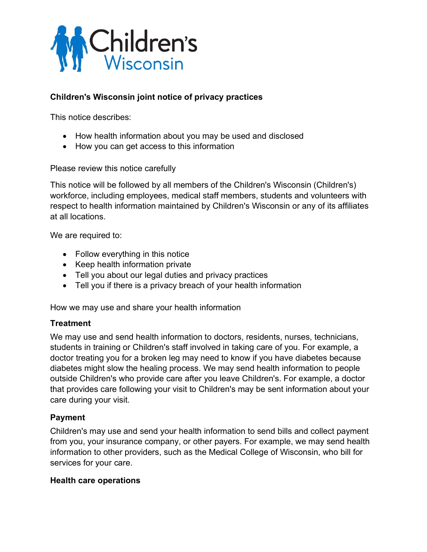

## **Children's Wisconsin joint notice of privacy practices**

This notice describes:

- How health information about you may be used and disclosed
- How you can get access to this information

Please review this notice carefully

This notice will be followed by all members of the Children's Wisconsin (Children's) workforce, including employees, medical staff members, students and volunteers with respect to health information maintained by Children's Wisconsin or any of its affiliates at all locations.

We are required to:

- Follow everything in this notice
- Keep health information private
- Tell you about our legal duties and privacy practices
- Tell you if there is a privacy breach of your health information

How we may use and share your health information

#### **Treatment**

We may use and send health information to doctors, residents, nurses, technicians, students in training or Children's staff involved in taking care of you. For example, a doctor treating you for a broken leg may need to know if you have diabetes because diabetes might slow the healing process. We may send health information to people outside Children's who provide care after you leave Children's. For example, a doctor that provides care following your visit to Children's may be sent information about your care during your visit.

#### **Payment**

Children's may use and send your health information to send bills and collect payment from you, your insurance company, or other payers. For example, we may send health information to other providers, such as the Medical College of Wisconsin, who bill for services for your care.

#### **Health care operations**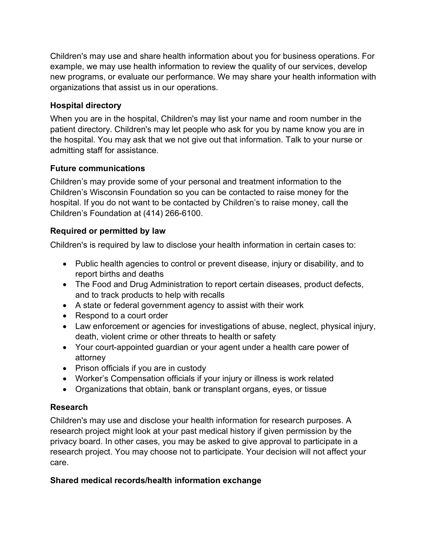Children's may use and share health information about you for business operations. For example, we may use health information to review the quality of our services, develop new programs, or evaluate our performance. We may share your health information with organizations that assist us in our operations.

## **Hospital directory**

When you are in the hospital, Children's may list your name and room number in the patient directory. Children's may let people who ask for you by name know you are in the hospital. You may ask that we not give out that information. Talk to your nurse or admitting staff for assistance.

## **Future communications**

Children's may provide some of your personal and treatment information to the Children's Wisconsin Foundation so you can be contacted to raise money for the hospital. If you do not want to be contacted by Children's to raise money, call the Children's Foundation at (414) 266-6100.

## **Required or permitted by law**

Children's is required by law to disclose your health information in certain cases to:

- Public health agencies to control or prevent disease, injury or disability, and to report births and deaths
- The Food and Drug Administration to report certain diseases, product defects, and to track products to help with recalls
- A state or federal government agency to assist with their work
- Respond to a court order
- Law enforcement or agencies for investigations of abuse, neglect, physical injury, death, violent crime or other threats to health or safety
- Your court-appointed guardian or your agent under a health care power of attorney
- Prison officials if you are in custody
- Worker's Compensation officials if your injury or illness is work related
- Organizations that obtain, bank or transplant organs, eyes, or tissue

# **Research**

Children's may use and disclose your health information for research purposes. A research project might look at your past medical history if given permission by the privacy board. In other cases, you may be asked to give approval to participate in a research project. You may choose not to participate. Your decision will not affect your care.

# **Shared medical records/health information exchange**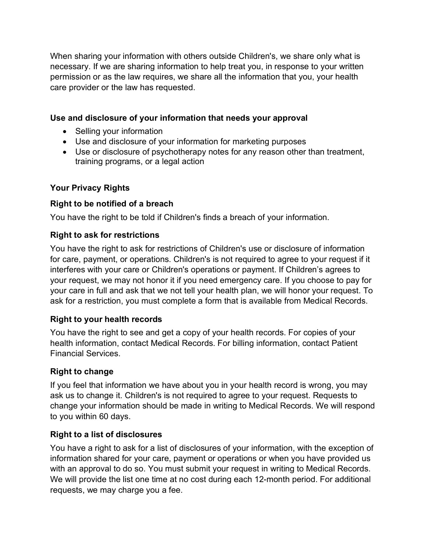When sharing your information with others outside Children's, we share only what is necessary. If we are sharing information to help treat you, in response to your written permission or as the law requires, we share all the information that you, your health care provider or the law has requested.

### **Use and disclosure of your information that needs your approval**

- Selling your information
- Use and disclosure of your information for marketing purposes
- Use or disclosure of psychotherapy notes for any reason other than treatment, training programs, or a legal action

## **Your Privacy Rights**

### **Right to be notified of a breach**

You have the right to be told if Children's finds a breach of your information.

### **Right to ask for restrictions**

You have the right to ask for restrictions of Children's use or disclosure of information for care, payment, or operations. Children's is not required to agree to your request if it interferes with your care or Children's operations or payment. If Children's agrees to your request, we may not honor it if you need emergency care. If you choose to pay for your care in full and ask that we not tell your health plan, we will honor your request. To ask for a restriction, you must complete a form that is available from Medical Records.

### **Right to your health records**

You have the right to see and get a copy of your health records. For copies of your health information, contact Medical Records. For billing information, contact Patient Financial Services.

# **Right to change**

If you feel that information we have about you in your health record is wrong, you may ask us to change it. Children's is not required to agree to your request. Requests to change your information should be made in writing to Medical Records. We will respond to you within 60 days.

# **Right to a list of disclosures**

You have a right to ask for a list of disclosures of your information, with the exception of information shared for your care, payment or operations or when you have provided us with an approval to do so. You must submit your request in writing to Medical Records. We will provide the list one time at no cost during each 12-month period. For additional requests, we may charge you a fee.